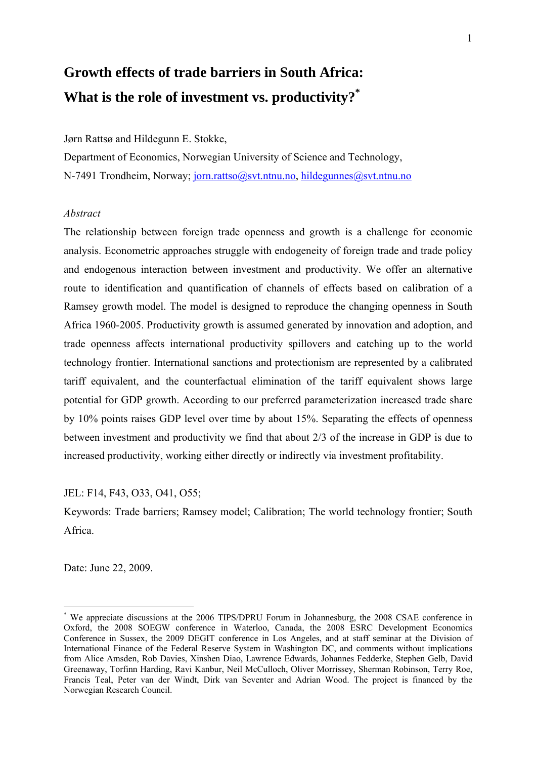# **Growth effects of trade barriers in South Africa: What is the role of investment vs. productivity?\***

#### Jørn Rattsø and Hildegunn E. Stokke,

Department of Economics, Norwegian University of Science and Technology, N-7491 Trondheim, Norway; jorn.rattso@svt.ntnu.no, hildegunnes@svt.ntnu.no

## *Abstract*

The relationship between foreign trade openness and growth is a challenge for economic analysis. Econometric approaches struggle with endogeneity of foreign trade and trade policy and endogenous interaction between investment and productivity. We offer an alternative route to identification and quantification of channels of effects based on calibration of a Ramsey growth model. The model is designed to reproduce the changing openness in South Africa 1960-2005. Productivity growth is assumed generated by innovation and adoption, and trade openness affects international productivity spillovers and catching up to the world technology frontier. International sanctions and protectionism are represented by a calibrated tariff equivalent, and the counterfactual elimination of the tariff equivalent shows large potential for GDP growth. According to our preferred parameterization increased trade share by 10% points raises GDP level over time by about 15%. Separating the effects of openness between investment and productivity we find that about 2/3 of the increase in GDP is due to increased productivity, working either directly or indirectly via investment profitability.

JEL: F14, F43, O33, O41, O55;

Keywords: Trade barriers; Ramsey model; Calibration; The world technology frontier; South Africa.

Date: June 22, 2009.

1

<sup>\*</sup> We appreciate discussions at the 2006 TIPS/DPRU Forum in Johannesburg, the 2008 CSAE conference in Oxford, the 2008 SOEGW conference in Waterloo, Canada, the 2008 ESRC Development Economics Conference in Sussex, the 2009 DEGIT conference in Los Angeles, and at staff seminar at the Division of International Finance of the Federal Reserve System in Washington DC, and comments without implications from Alice Amsden, Rob Davies, Xinshen Diao, Lawrence Edwards, Johannes Fedderke, Stephen Gelb, David Greenaway, Torfinn Harding, Ravi Kanbur, Neil McCulloch, Oliver Morrissey, Sherman Robinson, Terry Roe, Francis Teal, Peter van der Windt, Dirk van Seventer and Adrian Wood. The project is financed by the Norwegian Research Council.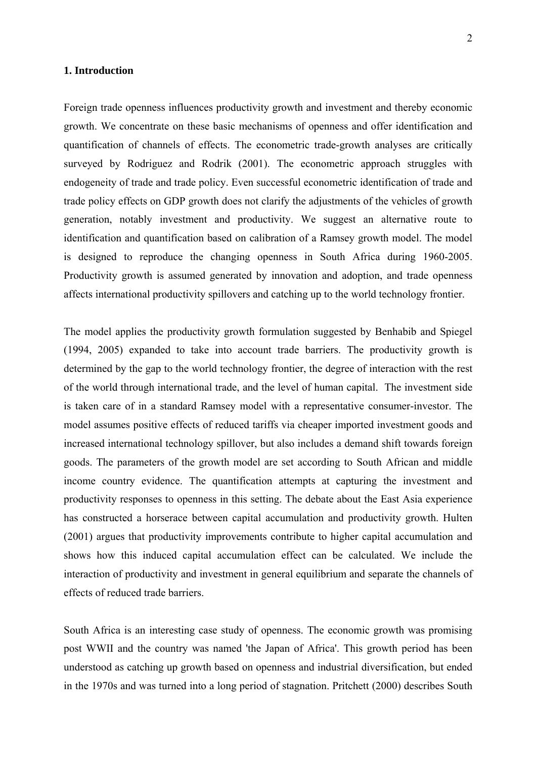#### **1. Introduction**

Foreign trade openness influences productivity growth and investment and thereby economic growth. We concentrate on these basic mechanisms of openness and offer identification and quantification of channels of effects. The econometric trade-growth analyses are critically surveyed by Rodriguez and Rodrik (2001). The econometric approach struggles with endogeneity of trade and trade policy. Even successful econometric identification of trade and trade policy effects on GDP growth does not clarify the adjustments of the vehicles of growth generation, notably investment and productivity. We suggest an alternative route to identification and quantification based on calibration of a Ramsey growth model. The model is designed to reproduce the changing openness in South Africa during 1960-2005. Productivity growth is assumed generated by innovation and adoption, and trade openness affects international productivity spillovers and catching up to the world technology frontier.

The model applies the productivity growth formulation suggested by Benhabib and Spiegel (1994, 2005) expanded to take into account trade barriers. The productivity growth is determined by the gap to the world technology frontier, the degree of interaction with the rest of the world through international trade, and the level of human capital. The investment side is taken care of in a standard Ramsey model with a representative consumer-investor. The model assumes positive effects of reduced tariffs via cheaper imported investment goods and increased international technology spillover, but also includes a demand shift towards foreign goods. The parameters of the growth model are set according to South African and middle income country evidence. The quantification attempts at capturing the investment and productivity responses to openness in this setting. The debate about the East Asia experience has constructed a horserace between capital accumulation and productivity growth. Hulten (2001) argues that productivity improvements contribute to higher capital accumulation and shows how this induced capital accumulation effect can be calculated. We include the interaction of productivity and investment in general equilibrium and separate the channels of effects of reduced trade barriers.

South Africa is an interesting case study of openness. The economic growth was promising post WWII and the country was named 'the Japan of Africa'. This growth period has been understood as catching up growth based on openness and industrial diversification, but ended in the 1970s and was turned into a long period of stagnation. Pritchett (2000) describes South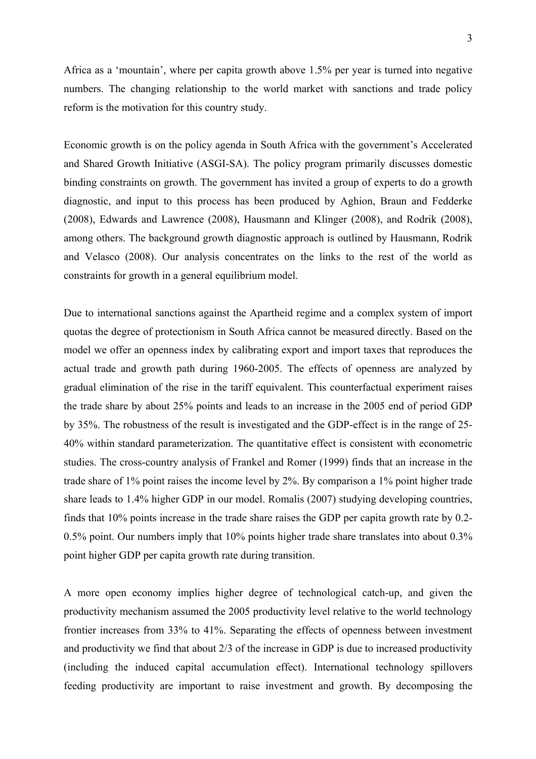Africa as a 'mountain', where per capita growth above 1.5% per year is turned into negative numbers. The changing relationship to the world market with sanctions and trade policy reform is the motivation for this country study.

Economic growth is on the policy agenda in South Africa with the government's Accelerated and Shared Growth Initiative (ASGI-SA). The policy program primarily discusses domestic binding constraints on growth. The government has invited a group of experts to do a growth diagnostic, and input to this process has been produced by Aghion, Braun and Fedderke (2008), Edwards and Lawrence (2008), Hausmann and Klinger (2008), and Rodrik (2008), among others. The background growth diagnostic approach is outlined by Hausmann, Rodrik and Velasco (2008). Our analysis concentrates on the links to the rest of the world as constraints for growth in a general equilibrium model.

Due to international sanctions against the Apartheid regime and a complex system of import quotas the degree of protectionism in South Africa cannot be measured directly. Based on the model we offer an openness index by calibrating export and import taxes that reproduces the actual trade and growth path during 1960-2005. The effects of openness are analyzed by gradual elimination of the rise in the tariff equivalent. This counterfactual experiment raises the trade share by about 25% points and leads to an increase in the 2005 end of period GDP by 35%. The robustness of the result is investigated and the GDP-effect is in the range of 25- 40% within standard parameterization. The quantitative effect is consistent with econometric studies. The cross-country analysis of Frankel and Romer (1999) finds that an increase in the trade share of 1% point raises the income level by 2%. By comparison a 1% point higher trade share leads to 1.4% higher GDP in our model. Romalis (2007) studying developing countries, finds that 10% points increase in the trade share raises the GDP per capita growth rate by 0.2- 0.5% point. Our numbers imply that 10% points higher trade share translates into about 0.3% point higher GDP per capita growth rate during transition.

A more open economy implies higher degree of technological catch-up, and given the productivity mechanism assumed the 2005 productivity level relative to the world technology frontier increases from 33% to 41%. Separating the effects of openness between investment and productivity we find that about 2/3 of the increase in GDP is due to increased productivity (including the induced capital accumulation effect). International technology spillovers feeding productivity are important to raise investment and growth. By decomposing the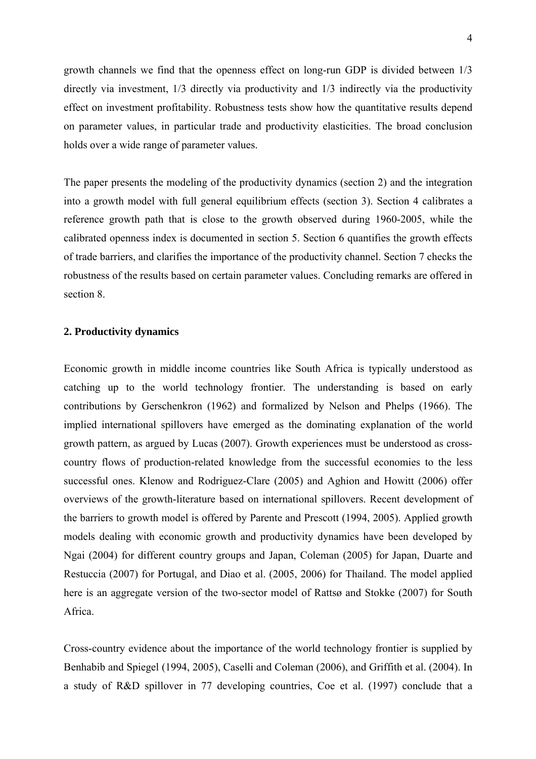growth channels we find that the openness effect on long-run GDP is divided between 1/3 directly via investment, 1/3 directly via productivity and 1/3 indirectly via the productivity effect on investment profitability. Robustness tests show how the quantitative results depend on parameter values, in particular trade and productivity elasticities. The broad conclusion holds over a wide range of parameter values.

The paper presents the modeling of the productivity dynamics (section 2) and the integration into a growth model with full general equilibrium effects (section 3). Section 4 calibrates a reference growth path that is close to the growth observed during 1960-2005, while the calibrated openness index is documented in section 5. Section 6 quantifies the growth effects of trade barriers, and clarifies the importance of the productivity channel. Section 7 checks the robustness of the results based on certain parameter values. Concluding remarks are offered in section 8.

#### **2. Productivity dynamics**

Economic growth in middle income countries like South Africa is typically understood as catching up to the world technology frontier. The understanding is based on early contributions by Gerschenkron (1962) and formalized by Nelson and Phelps (1966). The implied international spillovers have emerged as the dominating explanation of the world growth pattern, as argued by Lucas (2007). Growth experiences must be understood as crosscountry flows of production-related knowledge from the successful economies to the less successful ones. Klenow and Rodriguez-Clare (2005) and Aghion and Howitt (2006) offer overviews of the growth-literature based on international spillovers. Recent development of the barriers to growth model is offered by Parente and Prescott (1994, 2005). Applied growth models dealing with economic growth and productivity dynamics have been developed by Ngai (2004) for different country groups and Japan, Coleman (2005) for Japan, Duarte and Restuccia (2007) for Portugal, and Diao et al. (2005, 2006) for Thailand. The model applied here is an aggregate version of the two-sector model of Rattsø and Stokke (2007) for South Africa.

Cross-country evidence about the importance of the world technology frontier is supplied by Benhabib and Spiegel (1994, 2005), Caselli and Coleman (2006), and Griffith et al. (2004). In a study of R&D spillover in 77 developing countries, Coe et al. (1997) conclude that a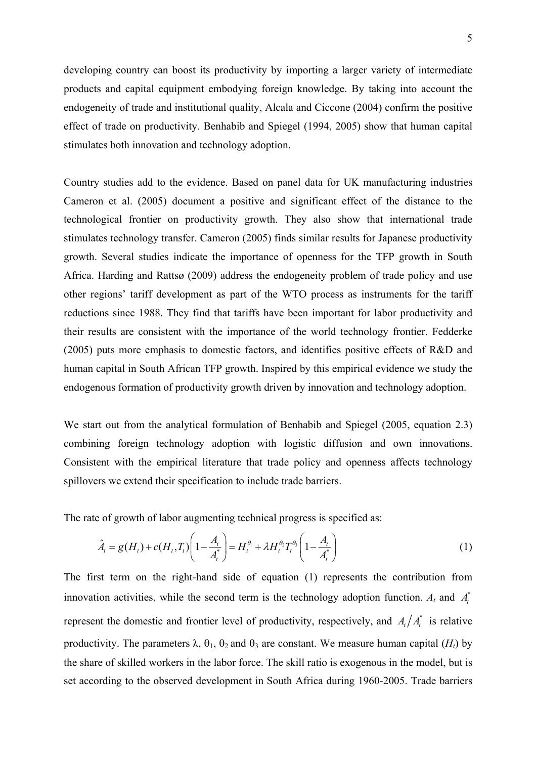developing country can boost its productivity by importing a larger variety of intermediate products and capital equipment embodying foreign knowledge. By taking into account the endogeneity of trade and institutional quality, Alcala and Ciccone (2004) confirm the positive effect of trade on productivity. Benhabib and Spiegel (1994, 2005) show that human capital stimulates both innovation and technology adoption.

Country studies add to the evidence. Based on panel data for UK manufacturing industries Cameron et al. (2005) document a positive and significant effect of the distance to the technological frontier on productivity growth. They also show that international trade stimulates technology transfer. Cameron (2005) finds similar results for Japanese productivity growth. Several studies indicate the importance of openness for the TFP growth in South Africa. Harding and Rattsø (2009) address the endogeneity problem of trade policy and use other regions' tariff development as part of the WTO process as instruments for the tariff reductions since 1988. They find that tariffs have been important for labor productivity and their results are consistent with the importance of the world technology frontier. Fedderke (2005) puts more emphasis to domestic factors, and identifies positive effects of R&D and human capital in South African TFP growth. Inspired by this empirical evidence we study the endogenous formation of productivity growth driven by innovation and technology adoption.

We start out from the analytical formulation of Benhabib and Spiegel (2005, equation 2.3) combining foreign technology adoption with logistic diffusion and own innovations. Consistent with the empirical literature that trade policy and openness affects technology spillovers we extend their specification to include trade barriers.

The rate of growth of labor augmenting technical progress is specified as:

$$
\hat{A}_t = g(H_t) + c(H_t, T_t) \left( 1 - \frac{A_t}{A_t^*} \right) = H_t^{\theta_1} + \lambda H_t^{\theta_2} T_t^{\theta_3} \left( 1 - \frac{A_t}{A_t^*} \right)
$$
(1)

The first term on the right-hand side of equation (1) represents the contribution from innovation activities, while the second term is the technology adoption function.  $A_t$  and  $A_t^*$ represent the domestic and frontier level of productivity, respectively, and  $A_t/A_t^*$  is relative productivity. The parameters  $\lambda$ ,  $\theta_1$ ,  $\theta_2$  and  $\theta_3$  are constant. We measure human capital (*H<sub>t</sub>*) by the share of skilled workers in the labor force. The skill ratio is exogenous in the model, but is set according to the observed development in South Africa during 1960-2005. Trade barriers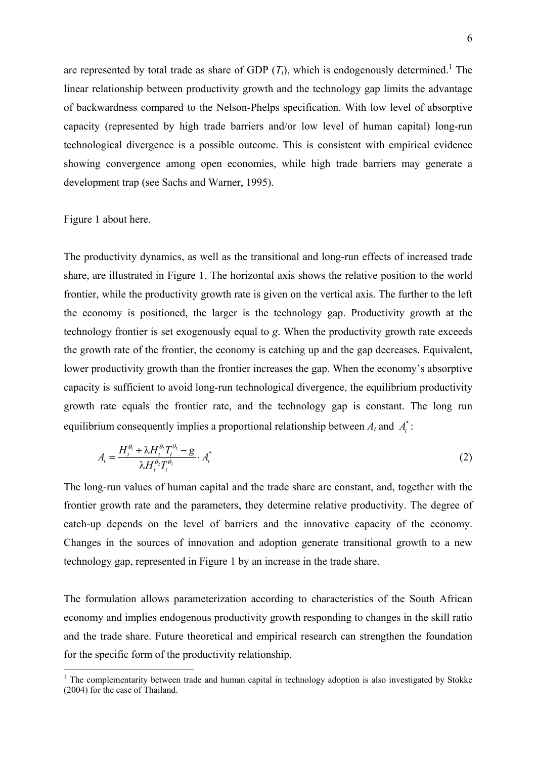are represented by total trade as share of GDP  $(T_t)$ , which is endogenously determined.<sup>1</sup> The linear relationship between productivity growth and the technology gap limits the advantage of backwardness compared to the Nelson-Phelps specification. With low level of absorptive capacity (represented by high trade barriers and/or low level of human capital) long-run technological divergence is a possible outcome. This is consistent with empirical evidence showing convergence among open economies, while high trade barriers may generate a development trap (see Sachs and Warner, 1995).

Figure 1 about here.

1

The productivity dynamics, as well as the transitional and long-run effects of increased trade share, are illustrated in Figure 1. The horizontal axis shows the relative position to the world frontier, while the productivity growth rate is given on the vertical axis. The further to the left the economy is positioned, the larger is the technology gap. Productivity growth at the technology frontier is set exogenously equal to *g*. When the productivity growth rate exceeds the growth rate of the frontier, the economy is catching up and the gap decreases. Equivalent, lower productivity growth than the frontier increases the gap. When the economy's absorptive capacity is sufficient to avoid long-run technological divergence, the equilibrium productivity growth rate equals the frontier rate, and the technology gap is constant. The long run equilibrium consequently implies a proportional relationship between  $A_t$  and  $A_t^*$ :

$$
A_t = \frac{H_t^{\theta_1} + \lambda H_t^{\theta_2} T_t^{\theta_3} - g}{\lambda H_t^{\theta_2} T_t^{\theta_3}} \cdot A_t^*
$$
 (2)

The long-run values of human capital and the trade share are constant, and, together with the frontier growth rate and the parameters, they determine relative productivity. The degree of catch-up depends on the level of barriers and the innovative capacity of the economy. Changes in the sources of innovation and adoption generate transitional growth to a new technology gap, represented in Figure 1 by an increase in the trade share.

The formulation allows parameterization according to characteristics of the South African economy and implies endogenous productivity growth responding to changes in the skill ratio and the trade share. Future theoretical and empirical research can strengthen the foundation for the specific form of the productivity relationship.

<sup>&</sup>lt;sup>1</sup> The complementarity between trade and human capital in technology adoption is also investigated by Stokke (2004) for the case of Thailand.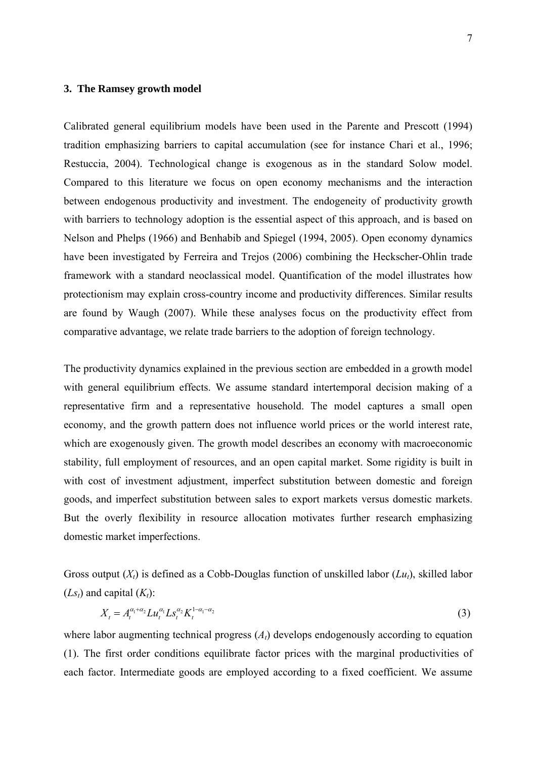## **3. The Ramsey growth model**

Calibrated general equilibrium models have been used in the Parente and Prescott (1994) tradition emphasizing barriers to capital accumulation (see for instance Chari et al., 1996; Restuccia, 2004). Technological change is exogenous as in the standard Solow model. Compared to this literature we focus on open economy mechanisms and the interaction between endogenous productivity and investment. The endogeneity of productivity growth with barriers to technology adoption is the essential aspect of this approach, and is based on Nelson and Phelps (1966) and Benhabib and Spiegel (1994, 2005). Open economy dynamics have been investigated by Ferreira and Trejos (2006) combining the Heckscher-Ohlin trade framework with a standard neoclassical model. Quantification of the model illustrates how protectionism may explain cross-country income and productivity differences. Similar results are found by Waugh (2007). While these analyses focus on the productivity effect from comparative advantage, we relate trade barriers to the adoption of foreign technology.

The productivity dynamics explained in the previous section are embedded in a growth model with general equilibrium effects. We assume standard intertemporal decision making of a representative firm and a representative household. The model captures a small open economy, and the growth pattern does not influence world prices or the world interest rate, which are exogenously given. The growth model describes an economy with macroeconomic stability, full employment of resources, and an open capital market. Some rigidity is built in with cost of investment adjustment, imperfect substitution between domestic and foreign goods, and imperfect substitution between sales to export markets versus domestic markets. But the overly flexibility in resource allocation motivates further research emphasizing domestic market imperfections.

Gross output  $(X_t)$  is defined as a Cobb-Douglas function of unskilled labor  $(Lu_t)$ , skilled labor  $(Ls_t)$  and capital  $(K_t)$ :

$$
X_t = A_t^{\alpha_1 + \alpha_2} L u_t^{\alpha_1} L s_t^{\alpha_2} K_t^{1 - \alpha_1 - \alpha_2}
$$
\n(3)

where labor augmenting technical progress  $(A_t)$  develops endogenously according to equation (1). The first order conditions equilibrate factor prices with the marginal productivities of each factor. Intermediate goods are employed according to a fixed coefficient. We assume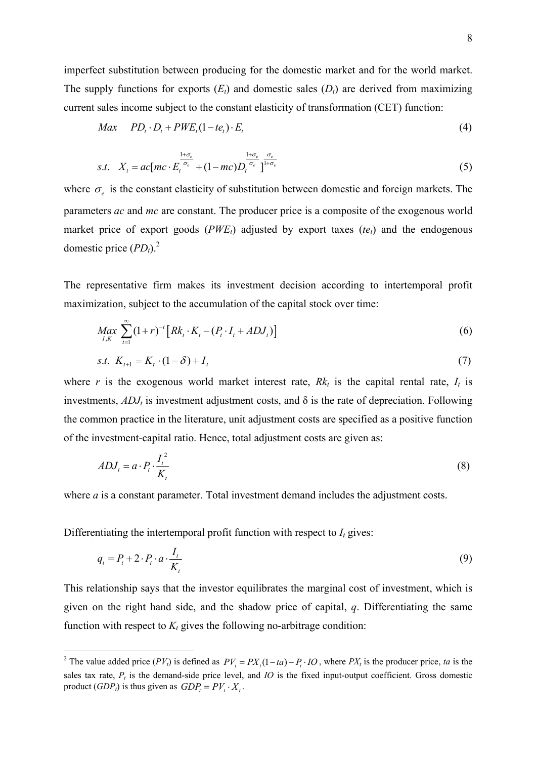imperfect substitution between producing for the domestic market and for the world market. The supply functions for exports  $(E_t)$  and domestic sales  $(D_t)$  are derived from maximizing current sales income subject to the constant elasticity of transformation (CET) function:

$$
Max \quad PD_t \cdot D_t + PWE_t(1-te_t) \cdot E_t \tag{4}
$$

$$
s.t. \quad X_t = ac[mc \cdot E_t^{\frac{1+\sigma_e}{\sigma_e}} + (1-mc)D_t^{\frac{1+\sigma_e}{\sigma_e}}]^{1+\sigma_e}
$$
\n
$$
(5)
$$

where  $\sigma_e$  is the constant elasticity of substitution between domestic and foreign markets. The parameters *ac* and *mc* are constant. The producer price is a composite of the exogenous world market price of export goods  $(PWE<sub>t</sub>)$  adjusted by export taxes  $(te<sub>t</sub>)$  and the endogenous domestic price  $(PD_t)$ .<sup>2</sup>

The representative firm makes its investment decision according to intertemporal profit maximization, subject to the accumulation of the capital stock over time:

$$
\max_{I,K} \sum_{t=1}^{\infty} (1+r)^{-t} \left[ Rk_t \cdot K_t - (P_t \cdot I_t + ADJ_t) \right] \tag{6}
$$

s.t. 
$$
K_{t+1} = K_t \cdot (1 - \delta) + I_t
$$
 (7)

where *r* is the exogenous world market interest rate,  $Rk_t$  is the capital rental rate,  $I_t$  is investments,  $ADJ_t$  is investment adjustment costs, and  $\delta$  is the rate of depreciation. Following the common practice in the literature, unit adjustment costs are specified as a positive function of the investment-capital ratio. Hence, total adjustment costs are given as:

$$
ADJ_t = a \cdot P_t \cdot \frac{I_t^2}{K_t} \tag{8}
$$

where *a* is a constant parameter. Total investment demand includes the adjustment costs.

Differentiating the intertemporal profit function with respect to  $I_t$  gives:

$$
q_t = P_t + 2 \cdot P_t \cdot a \cdot \frac{I_t}{K_t} \tag{9}
$$

This relationship says that the investor equilibrates the marginal cost of investment, which is given on the right hand side, and the shadow price of capital, *q*. Differentiating the same function with respect to  $K_t$  gives the following no-arbitrage condition:

<sup>&</sup>lt;sup>2</sup> The value added price  $(PV_t)$  is defined as  $PV_t = PX_t(1-ta) - P_t \cdot IO$ , where  $PX_t$  is the producer price, *ta* is the sales tax rate,  $P_t$  is the demand-side price level, and *IO* is the fixed input-output coefficient. Gross domestic product  $(GDP_t)$  is thus given as  $GDP_t = PV_t \cdot X_t$ .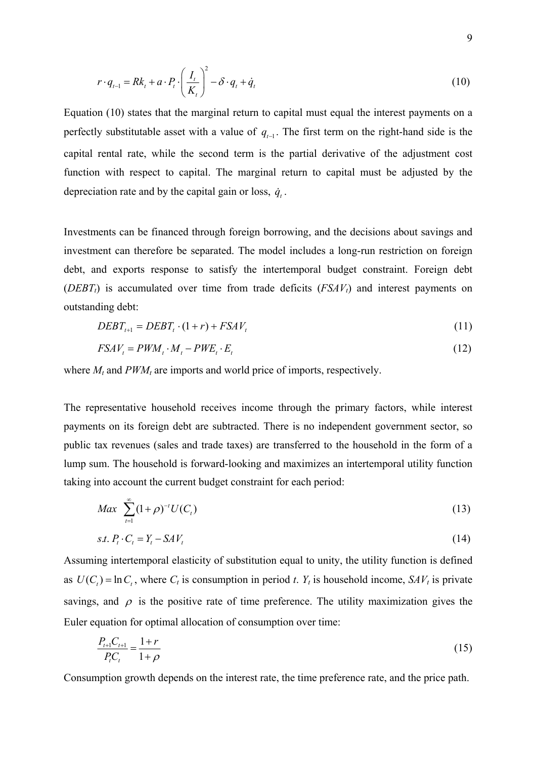$$
r \cdot q_{t-1} = Rk_t + a \cdot P_t \cdot \left(\frac{I_t}{K_t}\right)^2 - \delta \cdot q_t + \dot{q}_t
$$
\n(10)

Equation (10) states that the marginal return to capital must equal the interest payments on a perfectly substitutable asset with a value of  $q_{t-1}$ . The first term on the right-hand side is the capital rental rate, while the second term is the partial derivative of the adjustment cost function with respect to capital. The marginal return to capital must be adjusted by the depreciation rate and by the capital gain or loss,  $\dot{q}_t$ .

Investments can be financed through foreign borrowing, and the decisions about savings and investment can therefore be separated. The model includes a long-run restriction on foreign debt, and exports response to satisfy the intertemporal budget constraint. Foreign debt (*DEBT<sub>t</sub>*) is accumulated over time from trade deficits ( $FSAV_t$ ) and interest payments on outstanding debt:

$$
DEBT_{t+1} = DEBT_t \cdot (1+r) + FSAV_t \tag{11}
$$

$$
FSAV_t = PWM_t \cdot M_t - PWE_t \cdot E_t \tag{12}
$$

where  $M_t$  and  $PWM_t$  are imports and world price of imports, respectively.

The representative household receives income through the primary factors, while interest payments on its foreign debt are subtracted. There is no independent government sector, so public tax revenues (sales and trade taxes) are transferred to the household in the form of a lump sum. The household is forward-looking and maximizes an intertemporal utility function taking into account the current budget constraint for each period:

$$
Max \sum_{t=1}^{\infty} (1+\rho)^{-t} U(C_t)
$$
\n(13)

$$
s.t. P_t \cdot C_t = Y_t - SAV_t \tag{14}
$$

Assuming intertemporal elasticity of substitution equal to unity, the utility function is defined as  $U(C_t) = \ln C_t$ , where  $C_t$  is consumption in period *t*.  $Y_t$  is household income,  $SAV_t$  is private savings, and  $\rho$  is the positive rate of time preference. The utility maximization gives the Euler equation for optimal allocation of consumption over time:

$$
\frac{P_{t+1}C_{t+1}}{P_t C_t} = \frac{1+r}{1+\rho}
$$
\n(15)

Consumption growth depends on the interest rate, the time preference rate, and the price path.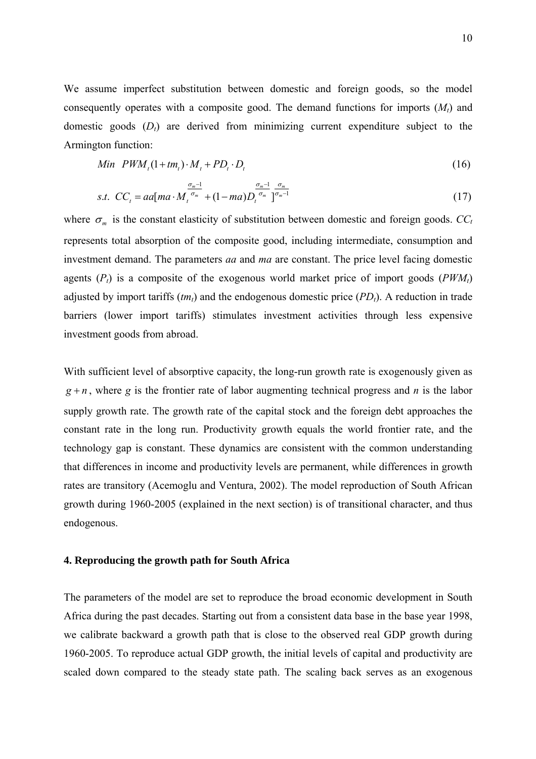We assume imperfect substitution between domestic and foreign goods, so the model consequently operates with a composite good. The demand functions for imports  $(M<sub>t</sub>)$  and domestic goods  $(D_t)$  are derived from minimizing current expenditure subject to the Armington function:

$$
Min\ PWM_t(1+tm_t)\cdot M_t + PD_t \cdot D_t \tag{16}
$$

$$
s.t. CCt = aa[ma \cdot M_t^{\frac{\sigma_m-1}{\sigma_m}} + (1-ma)D_t^{\frac{\sigma_m-1}{\sigma_m}}]_{\frac{\sigma_m-1}{\sigma_m-1}}
$$
(17)

where  $\sigma_m$  is the constant elasticity of substitution between domestic and foreign goods.  $CC_t$ represents total absorption of the composite good, including intermediate, consumption and investment demand. The parameters *aa* and *ma* are constant. The price level facing domestic agents  $(P_t)$  is a composite of the exogenous world market price of import goods  $(PWM_t)$ adjusted by import tariffs  $(tm_t)$  and the endogenous domestic price  $(PD_t)$ . A reduction in trade barriers (lower import tariffs) stimulates investment activities through less expensive investment goods from abroad.

With sufficient level of absorptive capacity, the long-run growth rate is exogenously given as  $g + n$ , where *g* is the frontier rate of labor augmenting technical progress and *n* is the labor supply growth rate. The growth rate of the capital stock and the foreign debt approaches the constant rate in the long run. Productivity growth equals the world frontier rate, and the technology gap is constant. These dynamics are consistent with the common understanding that differences in income and productivity levels are permanent, while differences in growth rates are transitory (Acemoglu and Ventura, 2002). The model reproduction of South African growth during 1960-2005 (explained in the next section) is of transitional character, and thus endogenous.

#### **4. Reproducing the growth path for South Africa**

The parameters of the model are set to reproduce the broad economic development in South Africa during the past decades. Starting out from a consistent data base in the base year 1998, we calibrate backward a growth path that is close to the observed real GDP growth during 1960-2005. To reproduce actual GDP growth, the initial levels of capital and productivity are scaled down compared to the steady state path. The scaling back serves as an exogenous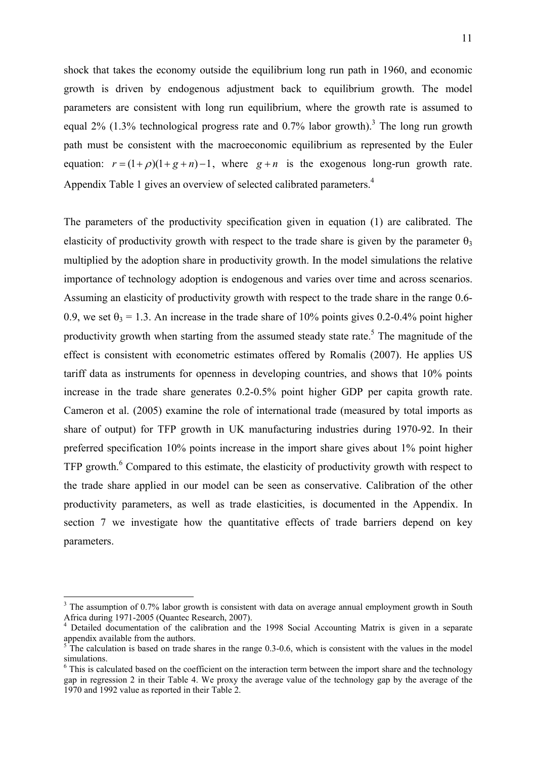shock that takes the economy outside the equilibrium long run path in 1960, and economic growth is driven by endogenous adjustment back to equilibrium growth. The model parameters are consistent with long run equilibrium, where the growth rate is assumed to equal 2% (1.3% technological progress rate and 0.7% labor growth).<sup>3</sup> The long run growth path must be consistent with the macroeconomic equilibrium as represented by the Euler equation:  $r = (1 + \rho)(1 + g + n) - 1$ , where  $g + n$  is the exogenous long-run growth rate. Appendix Table 1 gives an overview of selected calibrated parameters.<sup>4</sup>

The parameters of the productivity specification given in equation (1) are calibrated. The elasticity of productivity growth with respect to the trade share is given by the parameter  $\theta_3$ multiplied by the adoption share in productivity growth. In the model simulations the relative importance of technology adoption is endogenous and varies over time and across scenarios. Assuming an elasticity of productivity growth with respect to the trade share in the range 0.6- 0.9, we set  $\theta_3 = 1.3$ . An increase in the trade share of 10% points gives 0.2-0.4% point higher productivity growth when starting from the assumed steady state rate.<sup>5</sup> The magnitude of the effect is consistent with econometric estimates offered by Romalis (2007). He applies US tariff data as instruments for openness in developing countries, and shows that 10% points increase in the trade share generates 0.2-0.5% point higher GDP per capita growth rate. Cameron et al. (2005) examine the role of international trade (measured by total imports as share of output) for TFP growth in UK manufacturing industries during 1970-92. In their preferred specification 10% points increase in the import share gives about 1% point higher TFP growth.<sup>6</sup> Compared to this estimate, the elasticity of productivity growth with respect to the trade share applied in our model can be seen as conservative. Calibration of the other productivity parameters, as well as trade elasticities, is documented in the Appendix. In section 7 we investigate how the quantitative effects of trade barriers depend on key parameters.

1

<sup>3</sup> The assumption of 0.7% labor growth is consistent with data on average annual employment growth in South Africa during 1971-2005 (Quantec Research, 2007).

<sup>4</sup> Detailed documentation of the calibration and the 1998 Social Accounting Matrix is given in a separate appendix available from the authors.

<sup>5</sup> The calculation is based on trade shares in the range 0.3-0.6, which is consistent with the values in the model simulations.

<sup>&</sup>lt;sup>6</sup> This is calculated based on the coefficient on the interaction term between the import share and the technology gap in regression 2 in their Table 4. We proxy the average value of the technology gap by the average of the 1970 and 1992 value as reported in their Table 2.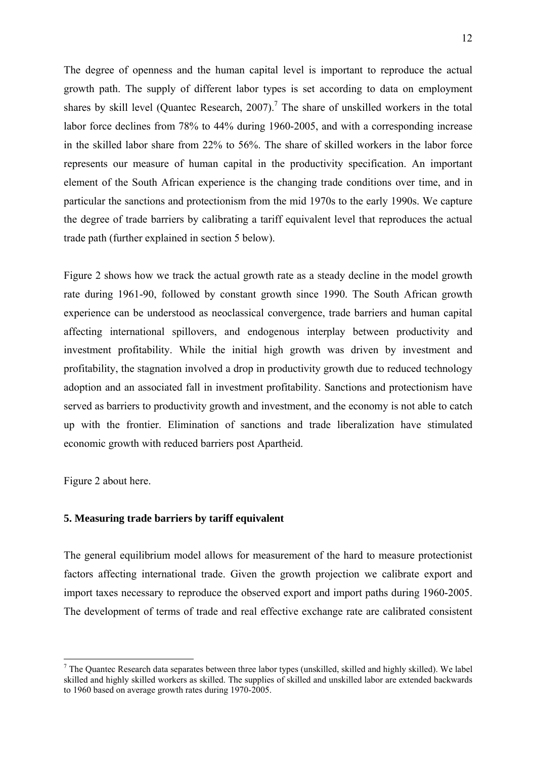The degree of openness and the human capital level is important to reproduce the actual growth path. The supply of different labor types is set according to data on employment shares by skill level (Quantec Research,  $2007$ ).<sup>7</sup> The share of unskilled workers in the total labor force declines from 78% to 44% during 1960-2005, and with a corresponding increase in the skilled labor share from 22% to 56%. The share of skilled workers in the labor force represents our measure of human capital in the productivity specification. An important element of the South African experience is the changing trade conditions over time, and in particular the sanctions and protectionism from the mid 1970s to the early 1990s. We capture the degree of trade barriers by calibrating a tariff equivalent level that reproduces the actual trade path (further explained in section 5 below).

Figure 2 shows how we track the actual growth rate as a steady decline in the model growth rate during 1961-90, followed by constant growth since 1990. The South African growth experience can be understood as neoclassical convergence, trade barriers and human capital affecting international spillovers, and endogenous interplay between productivity and investment profitability. While the initial high growth was driven by investment and profitability, the stagnation involved a drop in productivity growth due to reduced technology adoption and an associated fall in investment profitability. Sanctions and protectionism have served as barriers to productivity growth and investment, and the economy is not able to catch up with the frontier. Elimination of sanctions and trade liberalization have stimulated economic growth with reduced barriers post Apartheid.

Figure 2 about here.

1

## **5. Measuring trade barriers by tariff equivalent**

The general equilibrium model allows for measurement of the hard to measure protectionist factors affecting international trade. Given the growth projection we calibrate export and import taxes necessary to reproduce the observed export and import paths during 1960-2005. The development of terms of trade and real effective exchange rate are calibrated consistent

 $<sup>7</sup>$  The Quantec Research data separates between three labor types (unskilled, skilled and highly skilled). We label</sup> skilled and highly skilled workers as skilled. The supplies of skilled and unskilled labor are extended backwards to 1960 based on average growth rates during 1970-2005.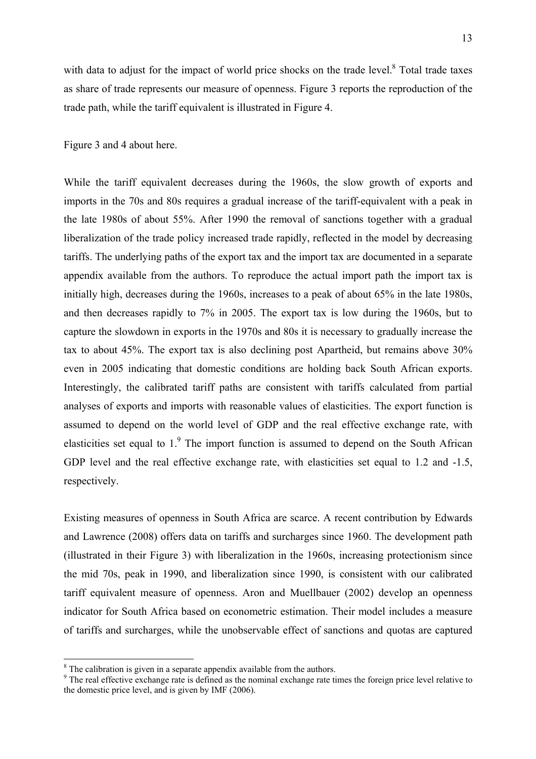with data to adjust for the impact of world price shocks on the trade level. $8$  Total trade taxes as share of trade represents our measure of openness. Figure 3 reports the reproduction of the trade path, while the tariff equivalent is illustrated in Figure 4.

Figure 3 and 4 about here.

While the tariff equivalent decreases during the 1960s, the slow growth of exports and imports in the 70s and 80s requires a gradual increase of the tariff-equivalent with a peak in the late 1980s of about 55%. After 1990 the removal of sanctions together with a gradual liberalization of the trade policy increased trade rapidly, reflected in the model by decreasing tariffs. The underlying paths of the export tax and the import tax are documented in a separate appendix available from the authors. To reproduce the actual import path the import tax is initially high, decreases during the 1960s, increases to a peak of about 65% in the late 1980s, and then decreases rapidly to 7% in 2005. The export tax is low during the 1960s, but to capture the slowdown in exports in the 1970s and 80s it is necessary to gradually increase the tax to about 45%. The export tax is also declining post Apartheid, but remains above 30% even in 2005 indicating that domestic conditions are holding back South African exports. Interestingly, the calibrated tariff paths are consistent with tariffs calculated from partial analyses of exports and imports with reasonable values of elasticities. The export function is assumed to depend on the world level of GDP and the real effective exchange rate, with elasticities set equal to  $1$ . The import function is assumed to depend on the South African GDP level and the real effective exchange rate, with elasticities set equal to 1.2 and -1.5, respectively.

Existing measures of openness in South Africa are scarce. A recent contribution by Edwards and Lawrence (2008) offers data on tariffs and surcharges since 1960. The development path (illustrated in their Figure 3) with liberalization in the 1960s, increasing protectionism since the mid 70s, peak in 1990, and liberalization since 1990, is consistent with our calibrated tariff equivalent measure of openness. Aron and Muellbauer (2002) develop an openness indicator for South Africa based on econometric estimation. Their model includes a measure of tariffs and surcharges, while the unobservable effect of sanctions and quotas are captured

1

<sup>&</sup>lt;sup>8</sup> The calibration is given in a separate appendix available from the authors.

<sup>&</sup>lt;sup>9</sup> The real effective exchange rate is defined as the nominal exchange rate times the foreign price level relative to the domestic price level, and is given by IMF (2006).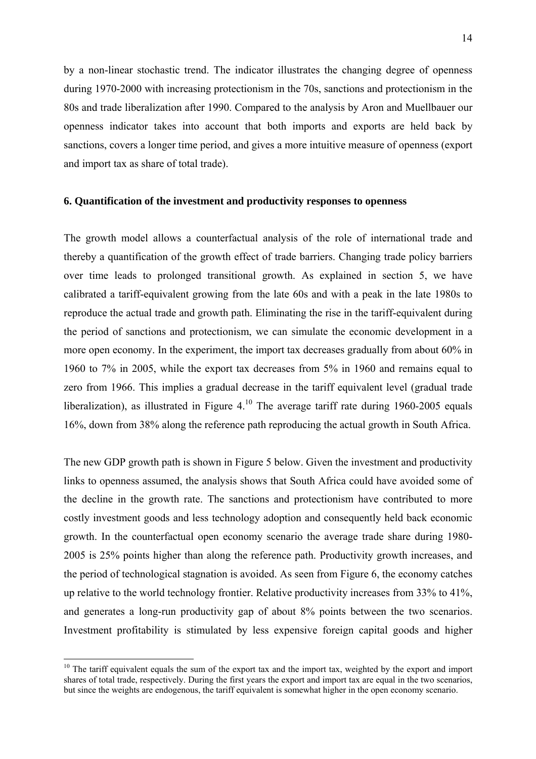by a non-linear stochastic trend. The indicator illustrates the changing degree of openness during 1970-2000 with increasing protectionism in the 70s, sanctions and protectionism in the 80s and trade liberalization after 1990. Compared to the analysis by Aron and Muellbauer our openness indicator takes into account that both imports and exports are held back by sanctions, covers a longer time period, and gives a more intuitive measure of openness (export and import tax as share of total trade).

#### **6. Quantification of the investment and productivity responses to openness**

The growth model allows a counterfactual analysis of the role of international trade and thereby a quantification of the growth effect of trade barriers. Changing trade policy barriers over time leads to prolonged transitional growth. As explained in section 5, we have calibrated a tariff-equivalent growing from the late 60s and with a peak in the late 1980s to reproduce the actual trade and growth path. Eliminating the rise in the tariff-equivalent during the period of sanctions and protectionism, we can simulate the economic development in a more open economy. In the experiment, the import tax decreases gradually from about 60% in 1960 to 7% in 2005, while the export tax decreases from 5% in 1960 and remains equal to zero from 1966. This implies a gradual decrease in the tariff equivalent level (gradual trade liberalization), as illustrated in Figure  $4^{10}$ . The average tariff rate during 1960-2005 equals 16%, down from 38% along the reference path reproducing the actual growth in South Africa.

The new GDP growth path is shown in Figure 5 below. Given the investment and productivity links to openness assumed, the analysis shows that South Africa could have avoided some of the decline in the growth rate. The sanctions and protectionism have contributed to more costly investment goods and less technology adoption and consequently held back economic growth. In the counterfactual open economy scenario the average trade share during 1980- 2005 is 25% points higher than along the reference path. Productivity growth increases, and the period of technological stagnation is avoided. As seen from Figure 6, the economy catches up relative to the world technology frontier. Relative productivity increases from 33% to 41%, and generates a long-run productivity gap of about 8% points between the two scenarios. Investment profitability is stimulated by less expensive foreign capital goods and higher

 $\overline{a}$ 

<sup>&</sup>lt;sup>10</sup> The tariff equivalent equals the sum of the export tax and the import tax, weighted by the export and import shares of total trade, respectively. During the first years the export and import tax are equal in the two scenarios, but since the weights are endogenous, the tariff equivalent is somewhat higher in the open economy scenario.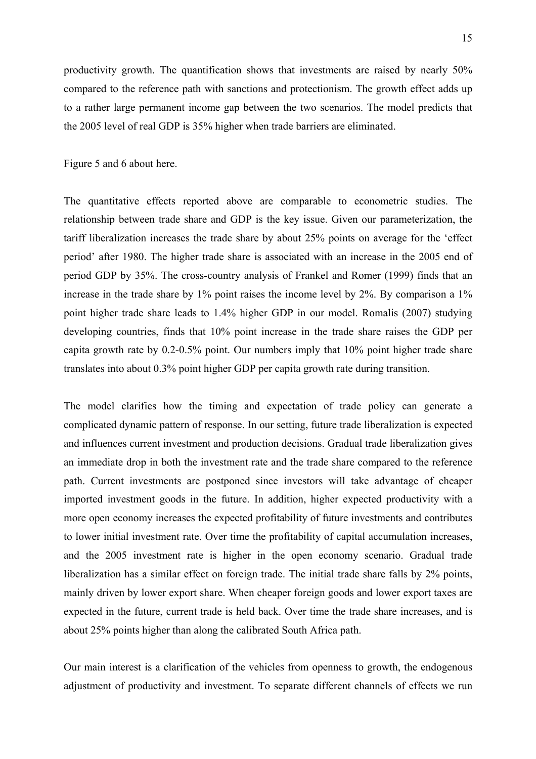productivity growth. The quantification shows that investments are raised by nearly 50% compared to the reference path with sanctions and protectionism. The growth effect adds up to a rather large permanent income gap between the two scenarios. The model predicts that the 2005 level of real GDP is 35% higher when trade barriers are eliminated.

## Figure 5 and 6 about here.

The quantitative effects reported above are comparable to econometric studies. The relationship between trade share and GDP is the key issue. Given our parameterization, the tariff liberalization increases the trade share by about 25% points on average for the 'effect period' after 1980. The higher trade share is associated with an increase in the 2005 end of period GDP by 35%. The cross-country analysis of Frankel and Romer (1999) finds that an increase in the trade share by 1% point raises the income level by 2%. By comparison a 1% point higher trade share leads to 1.4% higher GDP in our model. Romalis (2007) studying developing countries, finds that 10% point increase in the trade share raises the GDP per capita growth rate by 0.2-0.5% point. Our numbers imply that 10% point higher trade share translates into about 0.3% point higher GDP per capita growth rate during transition.

The model clarifies how the timing and expectation of trade policy can generate a complicated dynamic pattern of response. In our setting, future trade liberalization is expected and influences current investment and production decisions. Gradual trade liberalization gives an immediate drop in both the investment rate and the trade share compared to the reference path. Current investments are postponed since investors will take advantage of cheaper imported investment goods in the future. In addition, higher expected productivity with a more open economy increases the expected profitability of future investments and contributes to lower initial investment rate. Over time the profitability of capital accumulation increases, and the 2005 investment rate is higher in the open economy scenario. Gradual trade liberalization has a similar effect on foreign trade. The initial trade share falls by 2% points, mainly driven by lower export share. When cheaper foreign goods and lower export taxes are expected in the future, current trade is held back. Over time the trade share increases, and is about 25% points higher than along the calibrated South Africa path.

Our main interest is a clarification of the vehicles from openness to growth, the endogenous adjustment of productivity and investment. To separate different channels of effects we run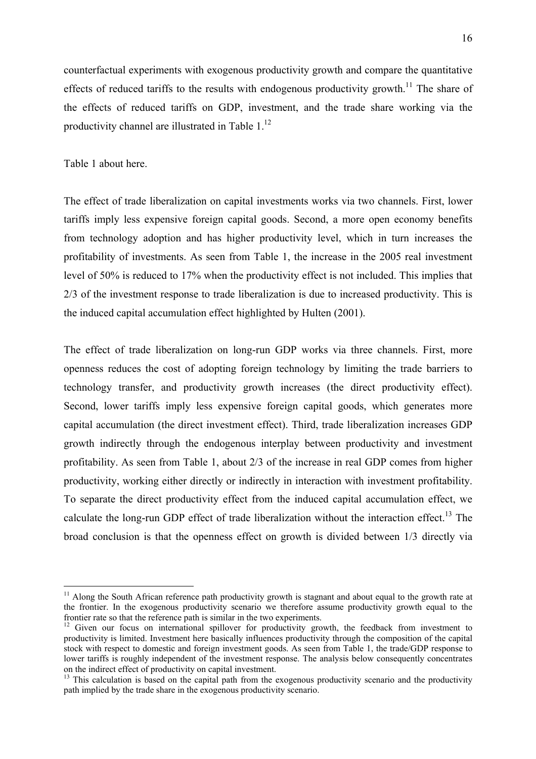counterfactual experiments with exogenous productivity growth and compare the quantitative effects of reduced tariffs to the results with endogenous productivity growth.<sup>11</sup> The share of the effects of reduced tariffs on GDP, investment, and the trade share working via the productivity channel are illustrated in Table  $1<sup>12</sup>$ 

### Table 1 about here.

1

The effect of trade liberalization on capital investments works via two channels. First, lower tariffs imply less expensive foreign capital goods. Second, a more open economy benefits from technology adoption and has higher productivity level, which in turn increases the profitability of investments. As seen from Table 1, the increase in the 2005 real investment level of 50% is reduced to 17% when the productivity effect is not included. This implies that 2/3 of the investment response to trade liberalization is due to increased productivity. This is the induced capital accumulation effect highlighted by Hulten (2001).

The effect of trade liberalization on long-run GDP works via three channels. First, more openness reduces the cost of adopting foreign technology by limiting the trade barriers to technology transfer, and productivity growth increases (the direct productivity effect). Second, lower tariffs imply less expensive foreign capital goods, which generates more capital accumulation (the direct investment effect). Third, trade liberalization increases GDP growth indirectly through the endogenous interplay between productivity and investment profitability. As seen from Table 1, about 2/3 of the increase in real GDP comes from higher productivity, working either directly or indirectly in interaction with investment profitability. To separate the direct productivity effect from the induced capital accumulation effect, we calculate the long-run GDP effect of trade liberalization without the interaction effect.<sup>13</sup> The broad conclusion is that the openness effect on growth is divided between 1/3 directly via

 $11$  Along the South African reference path productivity growth is stagnant and about equal to the growth rate at the frontier. In the exogenous productivity scenario we therefore assume productivity growth equal to the frontier rate so that the reference path is similar in the two experiments.

<sup>&</sup>lt;sup>12</sup> Given our focus on international spillover for productivity growth, the feedback from investment to productivity is limited. Investment here basically influences productivity through the composition of the capital stock with respect to domestic and foreign investment goods. As seen from Table 1, the trade/GDP response to lower tariffs is roughly independent of the investment response. The analysis below consequently concentrates on the indirect effect of productivity on capital investment.

<sup>&</sup>lt;sup>13</sup> This calculation is based on the capital path from the exogenous productivity scenario and the productivity path implied by the trade share in the exogenous productivity scenario.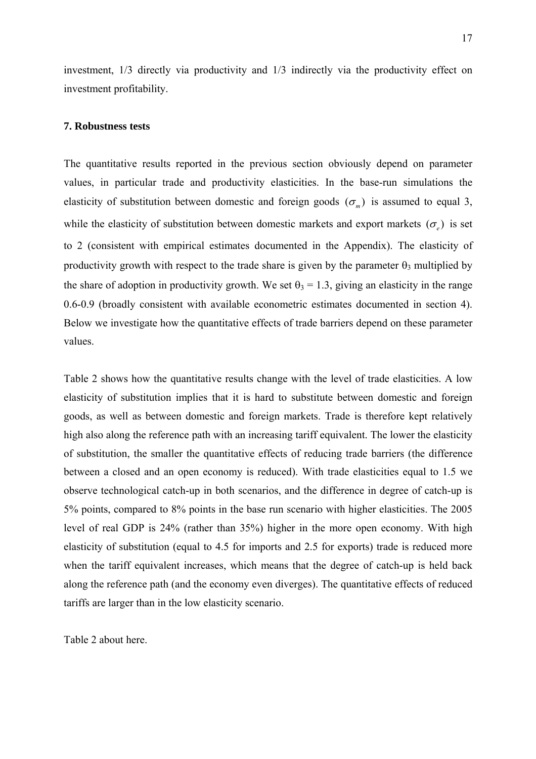investment, 1/3 directly via productivity and 1/3 indirectly via the productivity effect on investment profitability.

#### **7. Robustness tests**

The quantitative results reported in the previous section obviously depend on parameter values, in particular trade and productivity elasticities. In the base-run simulations the elasticity of substitution between domestic and foreign goods  $(\sigma_m)$  is assumed to equal 3, while the elasticity of substitution between domestic markets and export markets ( $\sigma$ <sub>c</sub>) is set to 2 (consistent with empirical estimates documented in the Appendix). The elasticity of productivity growth with respect to the trade share is given by the parameter  $\theta_3$  multiplied by the share of adoption in productivity growth. We set  $\theta_3 = 1.3$ , giving an elasticity in the range 0.6-0.9 (broadly consistent with available econometric estimates documented in section 4). Below we investigate how the quantitative effects of trade barriers depend on these parameter values.

Table 2 shows how the quantitative results change with the level of trade elasticities. A low elasticity of substitution implies that it is hard to substitute between domestic and foreign goods, as well as between domestic and foreign markets. Trade is therefore kept relatively high also along the reference path with an increasing tariff equivalent. The lower the elasticity of substitution, the smaller the quantitative effects of reducing trade barriers (the difference between a closed and an open economy is reduced). With trade elasticities equal to 1.5 we observe technological catch-up in both scenarios, and the difference in degree of catch-up is 5% points, compared to 8% points in the base run scenario with higher elasticities. The 2005 level of real GDP is 24% (rather than 35%) higher in the more open economy. With high elasticity of substitution (equal to 4.5 for imports and 2.5 for exports) trade is reduced more when the tariff equivalent increases, which means that the degree of catch-up is held back along the reference path (and the economy even diverges). The quantitative effects of reduced tariffs are larger than in the low elasticity scenario.

Table 2 about here.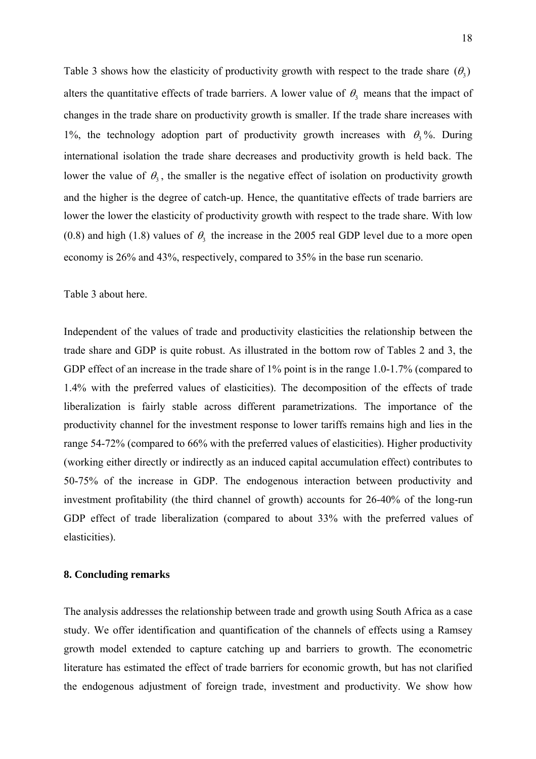Table 3 shows how the elasticity of productivity growth with respect to the trade share  $(\theta_1)$ alters the quantitative effects of trade barriers. A lower value of  $\theta_3$  means that the impact of changes in the trade share on productivity growth is smaller. If the trade share increases with 1%, the technology adoption part of productivity growth increases with  $\theta_3$ %. During international isolation the trade share decreases and productivity growth is held back. The lower the value of  $\theta_3$ , the smaller is the negative effect of isolation on productivity growth and the higher is the degree of catch-up. Hence, the quantitative effects of trade barriers are lower the lower the elasticity of productivity growth with respect to the trade share. With low (0.8) and high (1.8) values of  $\theta_3$ , the increase in the 2005 real GDP level due to a more open economy is 26% and 43%, respectively, compared to 35% in the base run scenario.

Table 3 about here.

Independent of the values of trade and productivity elasticities the relationship between the trade share and GDP is quite robust. As illustrated in the bottom row of Tables 2 and 3, the GDP effect of an increase in the trade share of 1% point is in the range 1.0-1.7% (compared to 1.4% with the preferred values of elasticities). The decomposition of the effects of trade liberalization is fairly stable across different parametrizations. The importance of the productivity channel for the investment response to lower tariffs remains high and lies in the range 54-72% (compared to 66% with the preferred values of elasticities). Higher productivity (working either directly or indirectly as an induced capital accumulation effect) contributes to 50-75% of the increase in GDP. The endogenous interaction between productivity and investment profitability (the third channel of growth) accounts for 26-40% of the long-run GDP effect of trade liberalization (compared to about 33% with the preferred values of elasticities).

### **8. Concluding remarks**

The analysis addresses the relationship between trade and growth using South Africa as a case study. We offer identification and quantification of the channels of effects using a Ramsey growth model extended to capture catching up and barriers to growth. The econometric literature has estimated the effect of trade barriers for economic growth, but has not clarified the endogenous adjustment of foreign trade, investment and productivity. We show how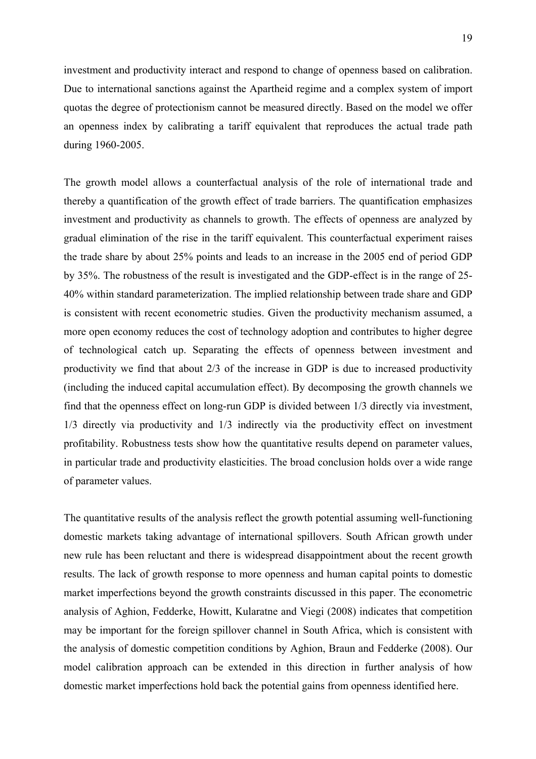investment and productivity interact and respond to change of openness based on calibration. Due to international sanctions against the Apartheid regime and a complex system of import quotas the degree of protectionism cannot be measured directly. Based on the model we offer an openness index by calibrating a tariff equivalent that reproduces the actual trade path during 1960-2005.

The growth model allows a counterfactual analysis of the role of international trade and thereby a quantification of the growth effect of trade barriers. The quantification emphasizes investment and productivity as channels to growth. The effects of openness are analyzed by gradual elimination of the rise in the tariff equivalent. This counterfactual experiment raises the trade share by about 25% points and leads to an increase in the 2005 end of period GDP by 35%. The robustness of the result is investigated and the GDP-effect is in the range of 25- 40% within standard parameterization. The implied relationship between trade share and GDP is consistent with recent econometric studies. Given the productivity mechanism assumed, a more open economy reduces the cost of technology adoption and contributes to higher degree of technological catch up. Separating the effects of openness between investment and productivity we find that about 2/3 of the increase in GDP is due to increased productivity (including the induced capital accumulation effect). By decomposing the growth channels we find that the openness effect on long-run GDP is divided between 1/3 directly via investment, 1/3 directly via productivity and 1/3 indirectly via the productivity effect on investment profitability. Robustness tests show how the quantitative results depend on parameter values, in particular trade and productivity elasticities. The broad conclusion holds over a wide range of parameter values.

The quantitative results of the analysis reflect the growth potential assuming well-functioning domestic markets taking advantage of international spillovers. South African growth under new rule has been reluctant and there is widespread disappointment about the recent growth results. The lack of growth response to more openness and human capital points to domestic market imperfections beyond the growth constraints discussed in this paper. The econometric analysis of Aghion, Fedderke, Howitt, Kularatne and Viegi (2008) indicates that competition may be important for the foreign spillover channel in South Africa, which is consistent with the analysis of domestic competition conditions by Aghion, Braun and Fedderke (2008). Our model calibration approach can be extended in this direction in further analysis of how domestic market imperfections hold back the potential gains from openness identified here.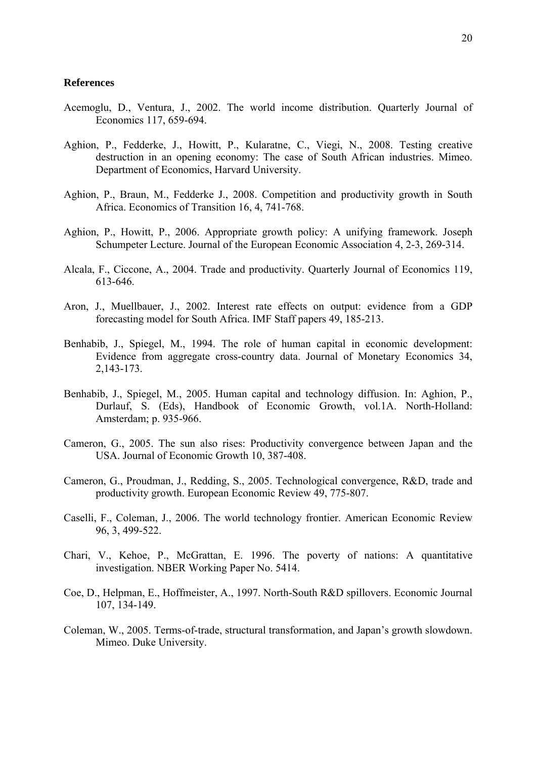#### **References**

- Acemoglu, D., Ventura, J., 2002. The world income distribution. Quarterly Journal of Economics 117, 659-694.
- Aghion, P., Fedderke, J., Howitt, P., Kularatne, C., Viegi, N., 2008. Testing creative destruction in an opening economy: The case of South African industries. Mimeo. Department of Economics, Harvard University.
- Aghion, P., Braun, M., Fedderke J., 2008. Competition and productivity growth in South Africa. Economics of Transition 16, 4, 741-768.
- Aghion, P., Howitt, P., 2006. Appropriate growth policy: A unifying framework. Joseph Schumpeter Lecture. Journal of the European Economic Association 4, 2-3, 269-314.
- Alcala, F., Ciccone, A., 2004. Trade and productivity. Quarterly Journal of Economics 119, 613-646.
- Aron, J., Muellbauer, J., 2002. Interest rate effects on output: evidence from a GDP forecasting model for South Africa. IMF Staff papers 49, 185-213.
- Benhabib, J., Spiegel, M., 1994. The role of human capital in economic development: Evidence from aggregate cross-country data. Journal of Monetary Economics 34, 2,143-173.
- Benhabib, J., Spiegel, M., 2005. Human capital and technology diffusion. In: Aghion, P., Durlauf, S. (Eds), Handbook of Economic Growth, vol.1A. North-Holland: Amsterdam; p. 935-966.
- Cameron, G., 2005. The sun also rises: Productivity convergence between Japan and the USA. Journal of Economic Growth 10, 387-408.
- Cameron, G., Proudman, J., Redding, S., 2005. Technological convergence, R&D, trade and productivity growth. European Economic Review 49, 775-807.
- Caselli, F., Coleman, J., 2006. The world technology frontier. American Economic Review 96, 3, 499-522.
- Chari, V., Kehoe, P., McGrattan, E. 1996. The poverty of nations: A quantitative investigation. NBER Working Paper No. 5414.
- Coe, D., Helpman, E., Hoffmeister, A., 1997. North-South R&D spillovers. Economic Journal 107, 134-149.
- Coleman, W., 2005. Terms-of-trade, structural transformation, and Japan's growth slowdown. Mimeo. Duke University.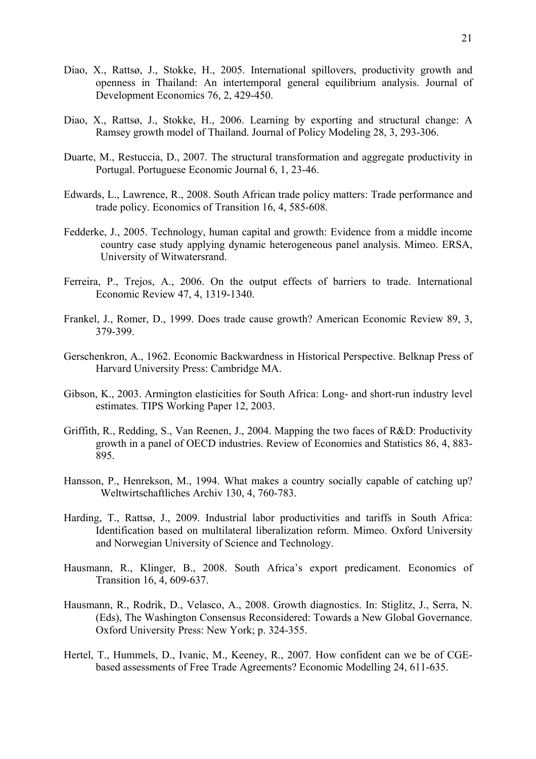- Diao, X., Rattsø, J., Stokke, H., 2005. International spillovers, productivity growth and openness in Thailand: An intertemporal general equilibrium analysis. Journal of Development Economics 76, 2, 429-450.
- Diao, X., Rattsø, J., Stokke, H., 2006. Learning by exporting and structural change: A Ramsey growth model of Thailand. Journal of Policy Modeling 28, 3, 293-306.
- Duarte, M., Restuccia, D., 2007. The structural transformation and aggregate productivity in Portugal. Portuguese Economic Journal 6, 1, 23-46.
- Edwards, L., Lawrence, R., 2008. South African trade policy matters: Trade performance and trade policy. Economics of Transition 16, 4, 585-608.
- Fedderke, J., 2005. Technology, human capital and growth: Evidence from a middle income country case study applying dynamic heterogeneous panel analysis. Mimeo. ERSA, University of Witwatersrand.
- Ferreira, P., Trejos, A., 2006. On the output effects of barriers to trade. International Economic Review 47, 4, 1319-1340.
- Frankel, J., Romer, D., 1999. Does trade cause growth? American Economic Review 89, 3, 379-399.
- Gerschenkron, A., 1962. Economic Backwardness in Historical Perspective. Belknap Press of Harvard University Press: Cambridge MA.
- Gibson, K., 2003. Armington elasticities for South Africa: Long- and short-run industry level estimates. TIPS Working Paper 12, 2003.
- Griffith, R., Redding, S., Van Reenen, J., 2004. Mapping the two faces of R&D: Productivity growth in a panel of OECD industries. Review of Economics and Statistics 86, 4, 883- 895.
- Hansson, P., Henrekson, M., 1994. What makes a country socially capable of catching up? Weltwirtschaftliches Archiv 130, 4, 760-783.
- Harding, T., Rattsø, J., 2009. Industrial labor productivities and tariffs in South Africa: Identification based on multilateral liberalization reform. Mimeo. Oxford University and Norwegian University of Science and Technology.
- Hausmann, R., Klinger, B., 2008. South Africa's export predicament. Economics of Transition 16, 4, 609-637.
- Hausmann, R., Rodrik, D., Velasco, A., 2008. Growth diagnostics. In: Stiglitz, J., Serra, N. (Eds), The Washington Consensus Reconsidered: Towards a New Global Governance. Oxford University Press: New York; p. 324-355.
- Hertel, T., Hummels, D., Ivanic, M., Keeney, R., 2007. How confident can we be of CGEbased assessments of Free Trade Agreements? Economic Modelling 24, 611-635.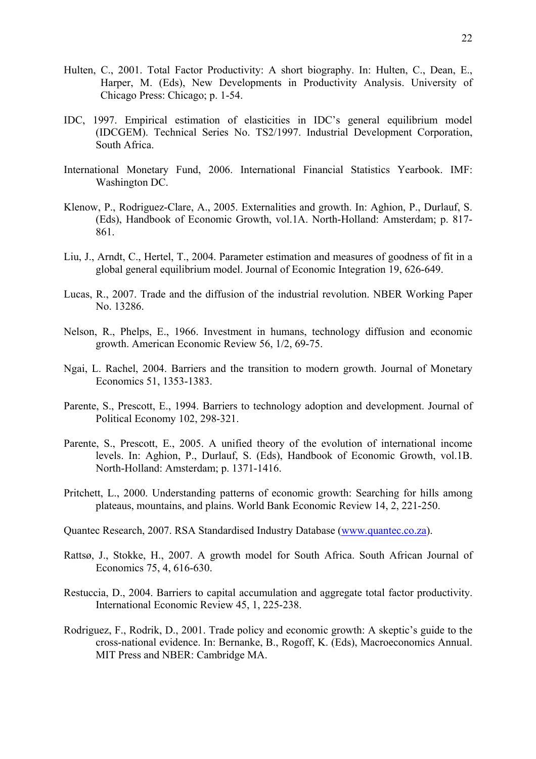- Hulten, C., 2001. Total Factor Productivity: A short biography. In: Hulten, C., Dean, E., Harper, M. (Eds), New Developments in Productivity Analysis. University of Chicago Press: Chicago; p. 1-54.
- IDC, 1997. Empirical estimation of elasticities in IDC's general equilibrium model (IDCGEM). Technical Series No. TS2/1997. Industrial Development Corporation, South Africa.
- International Monetary Fund, 2006. International Financial Statistics Yearbook. IMF: Washington DC.
- Klenow, P., Rodriguez-Clare, A., 2005. Externalities and growth. In: Aghion, P., Durlauf, S. (Eds), Handbook of Economic Growth, vol.1A. North-Holland: Amsterdam; p. 817- 861.
- Liu, J., Arndt, C., Hertel, T., 2004. Parameter estimation and measures of goodness of fit in a global general equilibrium model. Journal of Economic Integration 19, 626-649.
- Lucas, R., 2007. Trade and the diffusion of the industrial revolution. NBER Working Paper No. 13286.
- Nelson, R., Phelps, E., 1966. Investment in humans, technology diffusion and economic growth. American Economic Review 56, 1/2, 69-75.
- Ngai, L. Rachel, 2004. Barriers and the transition to modern growth. Journal of Monetary Economics 51, 1353-1383.
- Parente, S., Prescott, E., 1994. Barriers to technology adoption and development. Journal of Political Economy 102, 298-321.
- Parente, S., Prescott, E., 2005. A unified theory of the evolution of international income levels. In: Aghion, P., Durlauf, S. (Eds), Handbook of Economic Growth, vol.1B. North-Holland: Amsterdam; p. 1371-1416.
- Pritchett, L., 2000. Understanding patterns of economic growth: Searching for hills among plateaus, mountains, and plains. World Bank Economic Review 14, 2, 221-250.
- Quantec Research, 2007. RSA Standardised Industry Database (www.quantec.co.za).
- Rattsø, J., Stokke, H., 2007. A growth model for South Africa. South African Journal of Economics 75, 4, 616-630.
- Restuccia, D., 2004. Barriers to capital accumulation and aggregate total factor productivity. International Economic Review 45, 1, 225-238.
- Rodriguez, F., Rodrik, D., 2001. Trade policy and economic growth: A skeptic's guide to the cross-national evidence. In: Bernanke, B., Rogoff, K. (Eds), Macroeconomics Annual. MIT Press and NBER: Cambridge MA.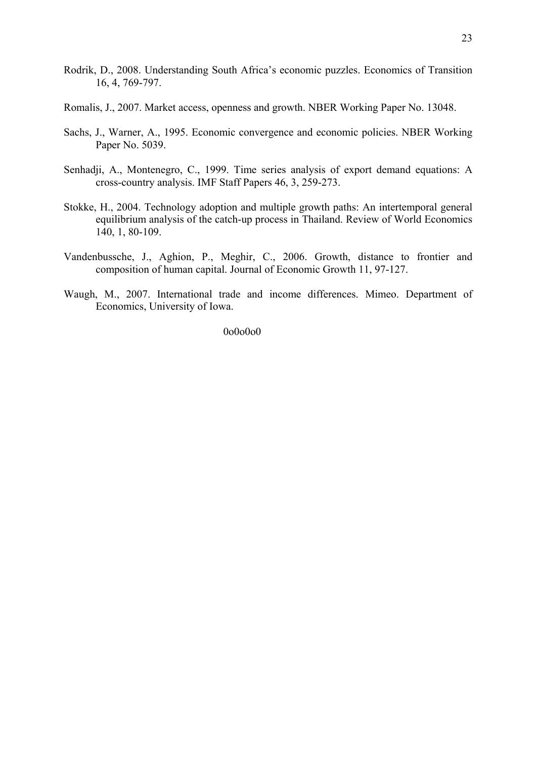- Rodrik, D., 2008. Understanding South Africa's economic puzzles. Economics of Transition 16, 4, 769-797.
- Romalis, J., 2007. Market access, openness and growth. NBER Working Paper No. 13048.
- Sachs, J., Warner, A., 1995. Economic convergence and economic policies. NBER Working Paper No. 5039.
- Senhadji, A., Montenegro, C., 1999. Time series analysis of export demand equations: A cross-country analysis. IMF Staff Papers 46, 3, 259-273.
- Stokke, H., 2004. Technology adoption and multiple growth paths: An intertemporal general equilibrium analysis of the catch-up process in Thailand. Review of World Economics 140, 1, 80-109.
- Vandenbussche, J., Aghion, P., Meghir, C., 2006. Growth, distance to frontier and composition of human capital. Journal of Economic Growth 11, 97-127.
- Waugh, M., 2007. International trade and income differences. Mimeo. Department of Economics, University of Iowa.

0o0o0o0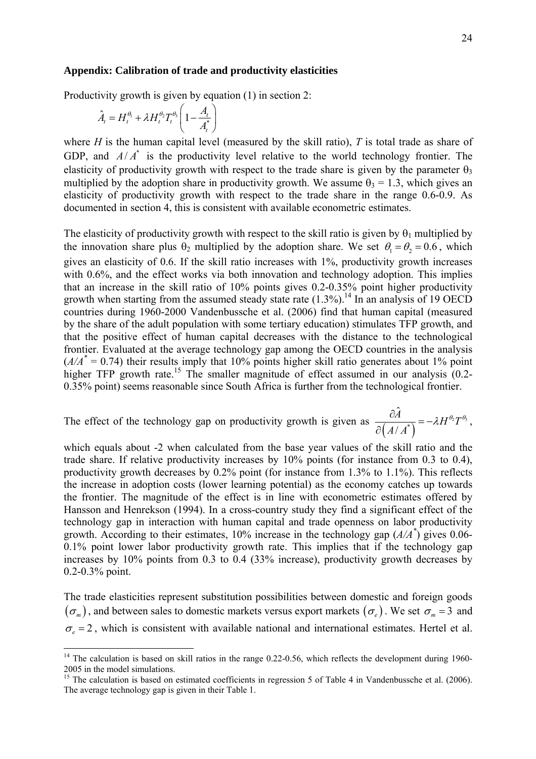#### **Appendix: Calibration of trade and productivity elasticities**

Productivity growth is given by equation (1) in section 2:

$$
\hat{A}_t = H_t^{\theta_1} + \lambda H_t^{\theta_2} T_t^{\theta_3} \left( 1 - \frac{A_t}{A_t^*} \right)
$$

1

where *H* is the human capital level (measured by the skill ratio), *T* is total trade as share of GDP, and  $A/A^*$  is the productivity level relative to the world technology frontier. The elasticity of productivity growth with respect to the trade share is given by the parameter  $\theta_3$ multiplied by the adoption share in productivity growth. We assume  $\theta_3 = 1.3$ , which gives an elasticity of productivity growth with respect to the trade share in the range 0.6-0.9. As documented in section 4, this is consistent with available econometric estimates.

The elasticity of productivity growth with respect to the skill ratio is given by  $\theta_1$  multiplied by the innovation share plus  $\theta_2$  multiplied by the adoption share. We set  $\theta_1 = \theta_2 = 0.6$ , which gives an elasticity of 0.6. If the skill ratio increases with 1%, productivity growth increases with 0.6%, and the effect works via both innovation and technology adoption. This implies that an increase in the skill ratio of 10% points gives 0.2-0.35% point higher productivity growth when starting from the assumed steady state rate  $(1.3\%)$ .<sup>14</sup> In an analysis of 19 OECD countries during 1960-2000 Vandenbussche et al. (2006) find that human capital (measured by the share of the adult population with some tertiary education) stimulates TFP growth, and that the positive effect of human capital decreases with the distance to the technological frontier. Evaluated at the average technology gap among the OECD countries in the analysis  $(A/A^* = 0.74)$  their results imply that 10% points higher skill ratio generates about 1% point higher TFP growth rate.<sup>15</sup> The smaller magnitude of effect assumed in our analysis  $(0.2 -$ 0.35% point) seems reasonable since South Africa is further from the technological frontier.

The effect of the technology gap on productivity growth is given as  $\frac{\partial A}{\partial (A/A^*)} = -\lambda H^{\theta_2} T^{\theta_3}$  $\hat{a}$ /  $\frac{A}{\sqrt{A}} = -\lambda H^{\theta_2}T$  $\frac{\partial \widetilde{A}}{\partial (A/A^*)} = -\lambda H^{\theta_2} T^{\theta_3}$ ,

which equals about -2 when calculated from the base year values of the skill ratio and the trade share. If relative productivity increases by 10% points (for instance from 0.3 to 0.4), productivity growth decreases by 0.2% point (for instance from 1.3% to 1.1%). This reflects the increase in adoption costs (lower learning potential) as the economy catches up towards the frontier. The magnitude of the effect is in line with econometric estimates offered by Hansson and Henrekson (1994). In a cross-country study they find a significant effect of the technology gap in interaction with human capital and trade openness on labor productivity growth. According to their estimates, 10% increase in the technology gap (*A/A\** ) gives 0.06- 0.1% point lower labor productivity growth rate. This implies that if the technology gap increases by 10% points from 0.3 to 0.4 (33% increase), productivity growth decreases by 0.2-0.3% point.

The trade elasticities represent substitution possibilities between domestic and foreign goods  $({\sigma_m})$ , and between sales to domestic markets versus export markets  $({\sigma_e})$ . We set  ${\sigma_m} = 3$  and  $\sigma_z = 2$ , which is consistent with available national and international estimates. Hertel et al.

<sup>&</sup>lt;sup>14</sup> The calculation is based on skill ratios in the range 0.22-0.56, which reflects the development during 1960-2005 in the model simulations.

<sup>&</sup>lt;sup>15</sup> The calculation is based on estimated coefficients in regression 5 of Table 4 in Vandenbussche et al. (2006). The average technology gap is given in their Table 1.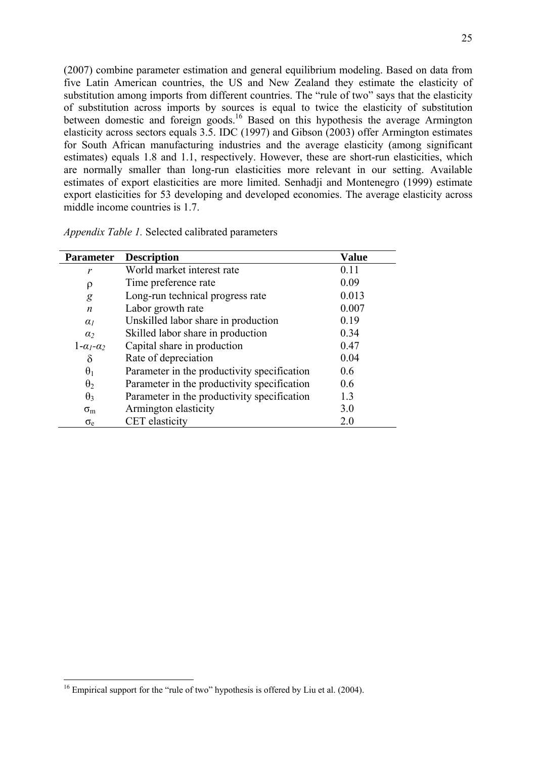(2007) combine parameter estimation and general equilibrium modeling. Based on data from five Latin American countries, the US and New Zealand they estimate the elasticity of substitution among imports from different countries. The "rule of two" says that the elasticity of substitution across imports by sources is equal to twice the elasticity of substitution between domestic and foreign goods.<sup>16</sup> Based on this hypothesis the average Armington elasticity across sectors equals 3.5. IDC (1997) and Gibson (2003) offer Armington estimates for South African manufacturing industries and the average elasticity (among significant estimates) equals 1.8 and 1.1, respectively. However, these are short-run elasticities, which are normally smaller than long-run elasticities more relevant in our setting. Available estimates of export elasticities are more limited. Senhadji and Montenegro (1999) estimate export elasticities for 53 developing and developed economies. The average elasticity across middle income countries is 1.7.

| <i>Appendix Table 1.</i> Selected calibrated parameters |  |
|---------------------------------------------------------|--|
|                                                         |  |

| <b>Parameter</b>      | <b>Description</b>                          | <b>Value</b> |
|-----------------------|---------------------------------------------|--------------|
| r                     | World market interest rate                  | 0.11         |
| ρ                     | Time preference rate                        | 0.09         |
| g                     | Long-run technical progress rate            | 0.013        |
| n                     | Labor growth rate                           | 0.007        |
| $\alpha_I$            | Unskilled labor share in production         | 0.19         |
| $\alpha$              | Skilled labor share in production           | 0.34         |
| $1-\alpha_1-\alpha_2$ | Capital share in production                 | 0.47         |
| $\delta$              | Rate of depreciation                        | 0.04         |
| $\theta_1$            | Parameter in the productivity specification | 0.6          |
| $\theta_2$            | Parameter in the productivity specification | 0.6          |
| $\theta_3$            | Parameter in the productivity specification | 1.3          |
| $\sigma_{\rm m}$      | Armington elasticity                        | 3.0          |
| $\sigma_{\rm e}$      | CET elasticity                              | 2.0          |

1

<sup>&</sup>lt;sup>16</sup> Empirical support for the "rule of two" hypothesis is offered by Liu et al. (2004).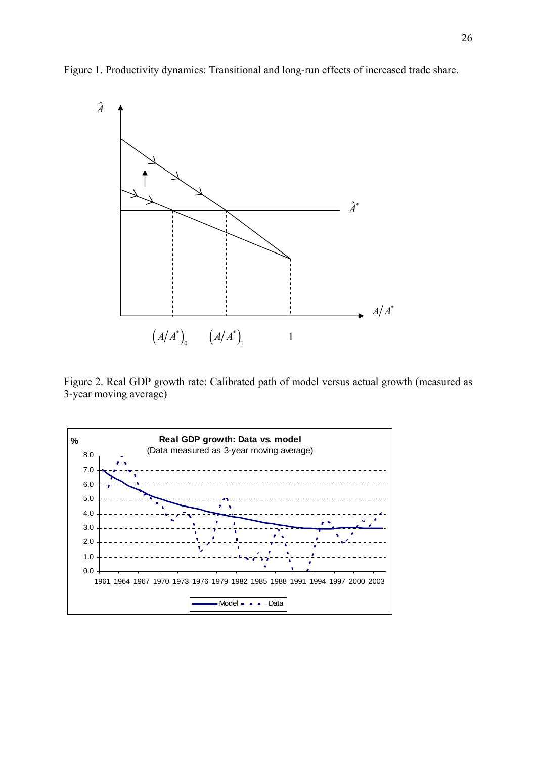Figure 1. Productivity dynamics: Transitional and long-run effects of increased trade share.



Figure 2. Real GDP growth rate: Calibrated path of model versus actual growth (measured as 3-year moving average)

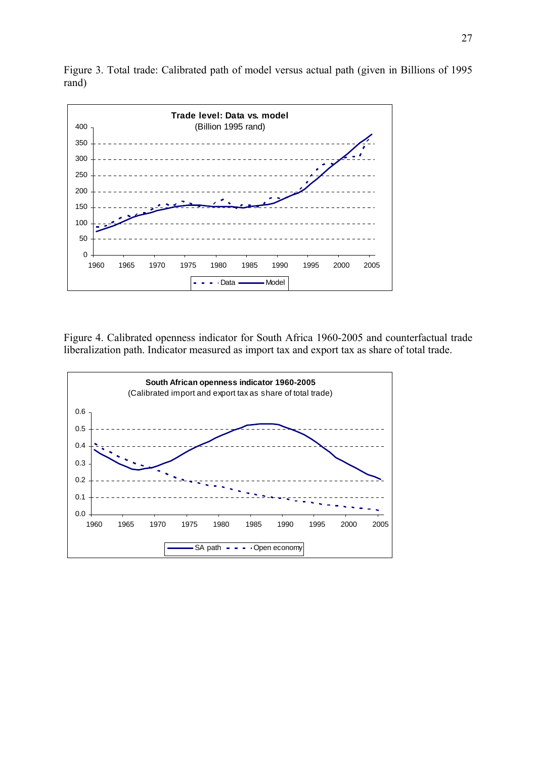Figure 3. Total trade: Calibrated path of model versus actual path (given in Billions of 1995 rand)



Figure 4. Calibrated openness indicator for South Africa 1960-2005 and counterfactual trade liberalization path. Indicator measured as import tax and export tax as share of total trade.

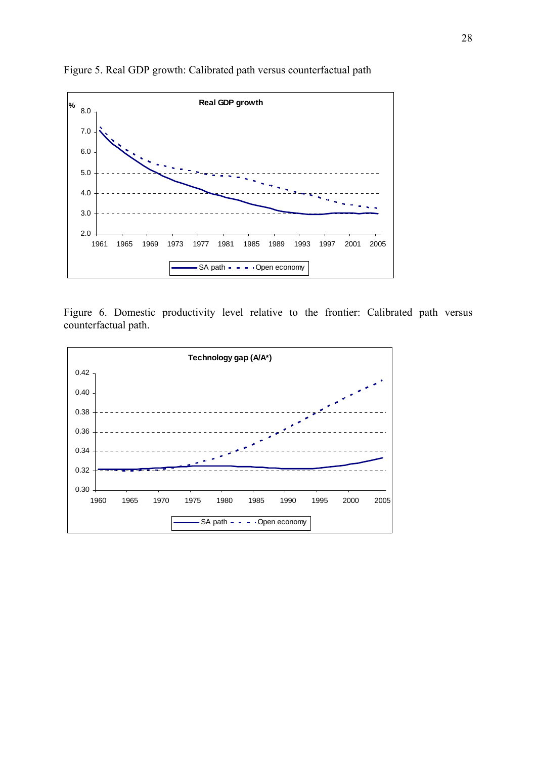

Figure 5. Real GDP growth: Calibrated path versus counterfactual path

Figure 6. Domestic productivity level relative to the frontier: Calibrated path versus counterfactual path.